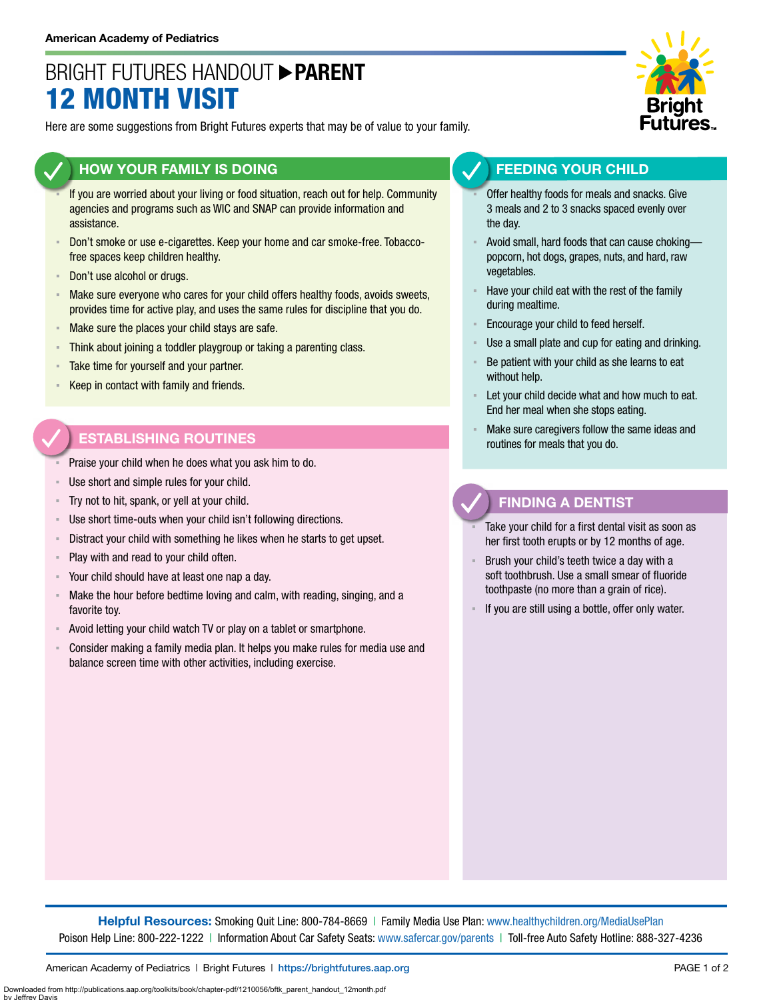# BRIGHT FUTURES HANDOUT **PARENT** 12 MONTH VISIT

Here are some suggestions from Bright Futures experts that may be of value to your family.

### **HOW YOUR FAMILY IS DOING**

- If you are worried about your living or food situation, reach out for help. Community agencies and programs such as WIC and SNAP can provide information and assistance.
- Don't smoke or use e-cigarettes. Keep your home and car smoke-free. Tobaccofree spaces keep children healthy.
- Don't use alcohol or drugs.
- **EXED Make sure everyone who cares for your child offers healthy foods, avoids sweets,** provides time for active play, and uses the same rules for discipline that you do.
- **EXED Make sure the places your child stays are safe.**
- **EXEDENT Think about joining a toddler playgroup or taking a parenting class.**
- **EXEC** Take time for yourself and your partner.
- Keep in contact with family and friends.

### **ESTABLISHING ROUTINES**

- Praise your child when he does what you ask him to do.
- Use short and simple rules for your child.
- Try not to hit, spank, or yell at your child.
- Use short time-outs when your child isn't following directions.
- Distract your child with something he likes when he starts to get upset.
- Play with and read to your child often.
- Your child should have at least one nap a day.
- Make the hour before bedtime loving and calm, with reading, singing, and a favorite toy.
- Avoid letting your child watch TV or play on a tablet or smartphone.
- Consider making a family media plan. It helps you make rules for media use and balance screen time with other activities, including exercise.



#### **FEEDING YOUR CHILD**

- Offer healthy foods for meals and snacks. Give 3 meals and 2 to 3 snacks spaced evenly over the day.
- Avoid small, hard foods that can cause chokingpopcorn, hot dogs, grapes, nuts, and hard, raw vegetables.
- Have your child eat with the rest of the family during mealtime.
- Encourage your child to feed herself.
- Use a small plate and cup for eating and drinking.
- Be patient with your child as she learns to eat without help.
- Let your child decide what and how much to eat. End her meal when she stops eating.
- Make sure caregivers follow the same ideas and routines for meals that you do.

### **FINDING A DENTIST**

- Take your child for a first dental visit as soon as her first tooth erupts or by 12 months of age.
- Brush your child's teeth twice a day with a soft toothbrush. Use a small smear of fluoride toothpaste (no more than a grain of rice).
- If you are still using a bottle, offer only water.

**Helpful Resources:** Smoking Quit Line: 800-784-8669 | Family Media Use Plan: [www.healthychildren.org/MediaUsePlan](https://www.healthychildren.org/English/media/Pages/default.aspx)  Poison Help Line: 800-222-1222 | Information About Car Safety Seats: [www.safercar.gov/parents](https://www.nhtsa.gov/parents-and-caregivers) | Toll-free Auto Safety Hotline: 888-327-4236

Downloaded from http://publications.aap.org/toolkits/book/chapter-pdf/1210056/bftk\_parent\_handout\_12month.pdf

by Jeffrey Davis